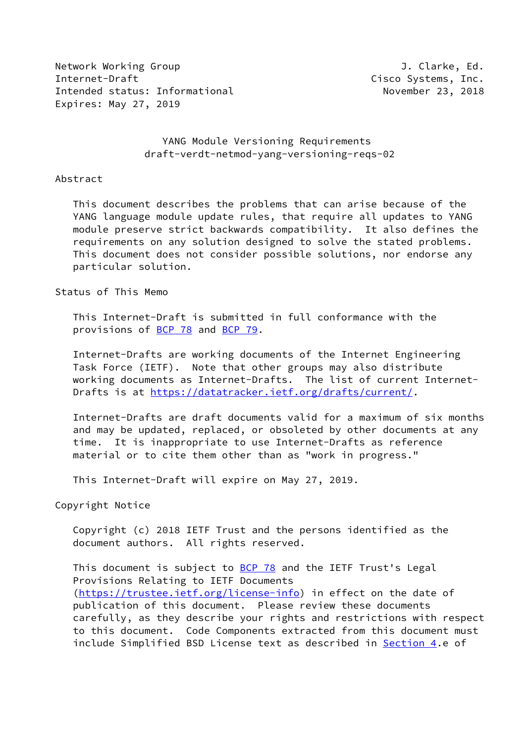Network Working Group **J. Clarke, Ed.** Internet-Draft Cisco Systems, Inc. Intended status: Informational November 23, 2018 Expires: May 27, 2019

### YANG Module Versioning Requirements draft-verdt-netmod-yang-versioning-reqs-02

#### Abstract

 This document describes the problems that can arise because of the YANG language module update rules, that require all updates to YANG module preserve strict backwards compatibility. It also defines the requirements on any solution designed to solve the stated problems. This document does not consider possible solutions, nor endorse any particular solution.

Status of This Memo

 This Internet-Draft is submitted in full conformance with the provisions of [BCP 78](https://datatracker.ietf.org/doc/pdf/bcp78) and [BCP 79](https://datatracker.ietf.org/doc/pdf/bcp79).

 Internet-Drafts are working documents of the Internet Engineering Task Force (IETF). Note that other groups may also distribute working documents as Internet-Drafts. The list of current Internet- Drafts is at<https://datatracker.ietf.org/drafts/current/>.

 Internet-Drafts are draft documents valid for a maximum of six months and may be updated, replaced, or obsoleted by other documents at any time. It is inappropriate to use Internet-Drafts as reference material or to cite them other than as "work in progress."

This Internet-Draft will expire on May 27, 2019.

Copyright Notice

 Copyright (c) 2018 IETF Trust and the persons identified as the document authors. All rights reserved.

This document is subject to **[BCP 78](https://datatracker.ietf.org/doc/pdf/bcp78)** and the IETF Trust's Legal Provisions Relating to IETF Documents [\(https://trustee.ietf.org/license-info](https://trustee.ietf.org/license-info)) in effect on the date of publication of this document. Please review these documents carefully, as they describe your rights and restrictions with respect to this document. Code Components extracted from this document must include Simplified BSD License text as described in [Section 4.](#page-7-0)e of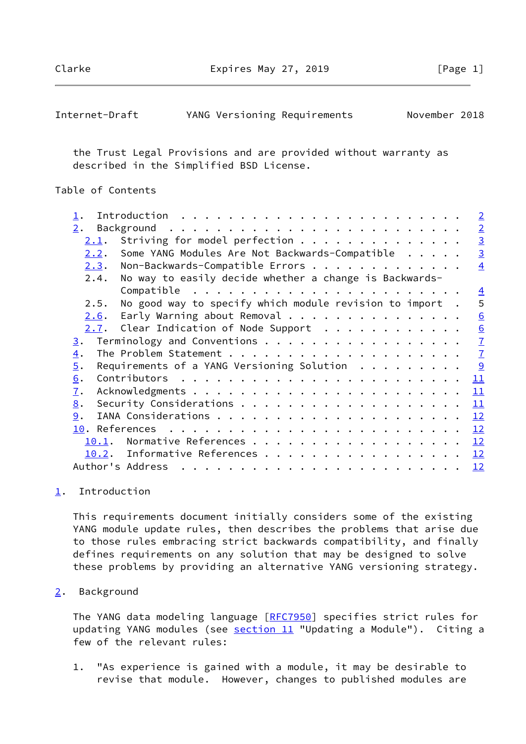Clarke Expires May 27, 2019 [Page 1]

<span id="page-1-1"></span>

| Internet-Draft |  | YANG Versioning Requirements | November 2018 |  |
|----------------|--|------------------------------|---------------|--|
|----------------|--|------------------------------|---------------|--|

 the Trust Legal Provisions and are provided without warranty as described in the Simplified BSD License.

## Table of Contents

| $\perp$ .        | $\sqrt{2}$                                                                                                                                                                                                                                                                                                                                                                                                                                                                           |
|------------------|--------------------------------------------------------------------------------------------------------------------------------------------------------------------------------------------------------------------------------------------------------------------------------------------------------------------------------------------------------------------------------------------------------------------------------------------------------------------------------------|
| 2.               | $\overline{2}$                                                                                                                                                                                                                                                                                                                                                                                                                                                                       |
| 2.1.             | $\overline{3}$<br>Striving for model perfection                                                                                                                                                                                                                                                                                                                                                                                                                                      |
| 2.2.             | $\overline{3}$<br>Some YANG Modules Are Not Backwards-Compatible                                                                                                                                                                                                                                                                                                                                                                                                                     |
| 2.3.             | Non-Backwards-Compatible Errors<br>$\overline{4}$                                                                                                                                                                                                                                                                                                                                                                                                                                    |
| 2.4.             | No way to easily decide whether a change is Backwards-                                                                                                                                                                                                                                                                                                                                                                                                                               |
|                  | $\overline{4}$                                                                                                                                                                                                                                                                                                                                                                                                                                                                       |
| 2.5.             | No good way to specify which module revision to import.<br>5                                                                                                                                                                                                                                                                                                                                                                                                                         |
| 2.6.             | Early Warning about Removal<br>6                                                                                                                                                                                                                                                                                                                                                                                                                                                     |
|                  | $2.7.$ Clear Indication of Node Support<br>6                                                                                                                                                                                                                                                                                                                                                                                                                                         |
| $\overline{3}$ . | $\overline{1}$<br>Terminology and Conventions                                                                                                                                                                                                                                                                                                                                                                                                                                        |
| $\overline{4}$ . | $\overline{1}$                                                                                                                                                                                                                                                                                                                                                                                                                                                                       |
| $\overline{5}$ . | <u>୍ର</u><br>Requirements of a YANG Versioning Solution $\ldots$                                                                                                                                                                                                                                                                                                                                                                                                                     |
| 6.               | 11                                                                                                                                                                                                                                                                                                                                                                                                                                                                                   |
| $\overline{1}$ . | 11                                                                                                                                                                                                                                                                                                                                                                                                                                                                                   |
| 8.               | 11                                                                                                                                                                                                                                                                                                                                                                                                                                                                                   |
| 9.               | 12                                                                                                                                                                                                                                                                                                                                                                                                                                                                                   |
|                  | 12                                                                                                                                                                                                                                                                                                                                                                                                                                                                                   |
| 10.1.            | 12                                                                                                                                                                                                                                                                                                                                                                                                                                                                                   |
|                  | 10.2. Informative References 12                                                                                                                                                                                                                                                                                                                                                                                                                                                      |
|                  | Author's Address<br>12<br>$\mathbf{a}^{\top} \cdot \mathbf{a}^{\top} \cdot \mathbf{a}^{\top} \cdot \mathbf{a}^{\top} \cdot \mathbf{a}^{\top} \cdot \mathbf{a}^{\top} \cdot \mathbf{a}^{\top} \cdot \mathbf{a}^{\top} \cdot \mathbf{a}^{\top} \cdot \mathbf{a}^{\top} \cdot \mathbf{a}^{\top} \cdot \mathbf{a}^{\top} \cdot \mathbf{a}^{\top} \cdot \mathbf{a}^{\top} \cdot \mathbf{a}^{\top} \cdot \mathbf{a}^{\top} \cdot \mathbf{a}^{\top} \cdot \mathbf{a}^{\top} \cdot \mathbf{$ |
|                  |                                                                                                                                                                                                                                                                                                                                                                                                                                                                                      |

### <span id="page-1-0"></span>[1](#page-1-0). Introduction

 This requirements document initially considers some of the existing YANG module update rules, then describes the problems that arise due to those rules embracing strict backwards compatibility, and finally defines requirements on any solution that may be designed to solve these problems by providing an alternative YANG versioning strategy.

### <span id="page-1-2"></span>[2](#page-1-2). Background

The YANG data modeling language [\[RFC7950](https://datatracker.ietf.org/doc/pdf/rfc7950)] specifies strict rules for updating YANG modules (see section 11 "Updating a Module"). Citing a few of the relevant rules:

 1. "As experience is gained with a module, it may be desirable to revise that module. However, changes to published modules are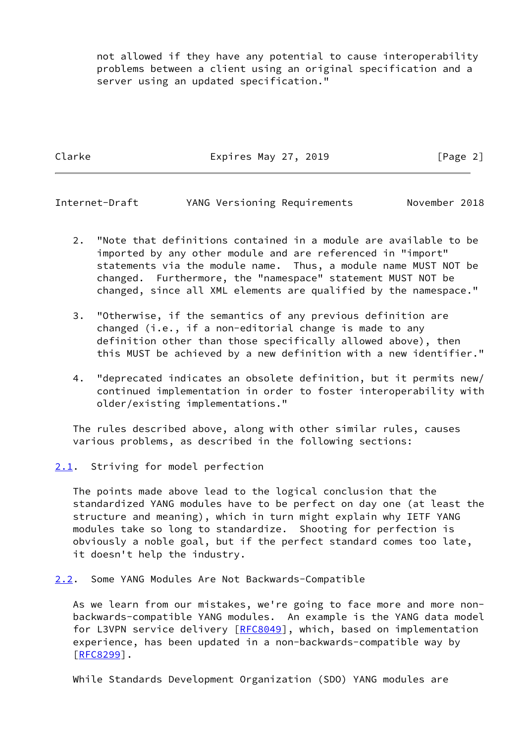not allowed if they have any potential to cause interoperability problems between a client using an original specification and a server using an updated specification."

Clarke Expires May 27, 2019 [Page 2]

<span id="page-2-1"></span>Internet-Draft YANG Versioning Requirements November 2018

- 2. "Note that definitions contained in a module are available to be imported by any other module and are referenced in "import" statements via the module name. Thus, a module name MUST NOT be changed. Furthermore, the "namespace" statement MUST NOT be changed, since all XML elements are qualified by the namespace."
- 3. "Otherwise, if the semantics of any previous definition are changed (i.e., if a non-editorial change is made to any definition other than those specifically allowed above), then this MUST be achieved by a new definition with a new identifier."
- 4. "deprecated indicates an obsolete definition, but it permits new/ continued implementation in order to foster interoperability with older/existing implementations."

 The rules described above, along with other similar rules, causes various problems, as described in the following sections:

<span id="page-2-0"></span>[2.1](#page-2-0). Striving for model perfection

 The points made above lead to the logical conclusion that the standardized YANG modules have to be perfect on day one (at least the structure and meaning), which in turn might explain why IETF YANG modules take so long to standardize. Shooting for perfection is obviously a noble goal, but if the perfect standard comes too late, it doesn't help the industry.

<span id="page-2-2"></span>[2.2](#page-2-2). Some YANG Modules Are Not Backwards-Compatible

 As we learn from our mistakes, we're going to face more and more non backwards-compatible YANG modules. An example is the YANG data model for L3VPN service delivery [[RFC8049\]](https://datatracker.ietf.org/doc/pdf/rfc8049), which, based on implementation experience, has been updated in a non-backwards-compatible way by [\[RFC8299](https://datatracker.ietf.org/doc/pdf/rfc8299)].

While Standards Development Organization (SDO) YANG modules are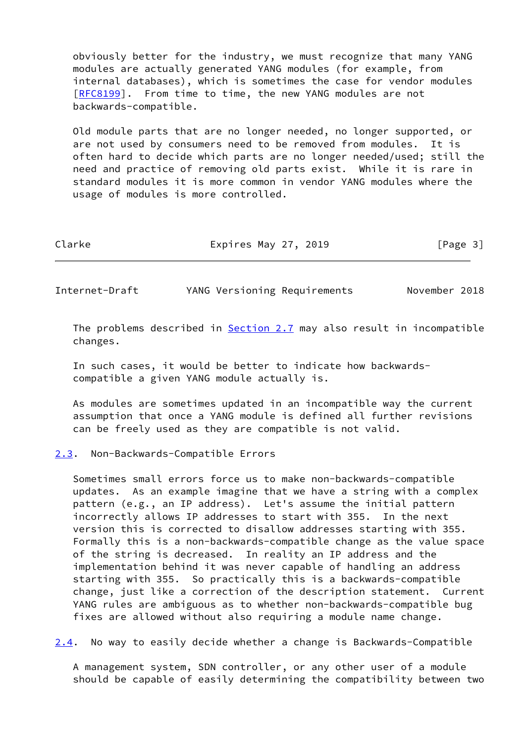obviously better for the industry, we must recognize that many YANG modules are actually generated YANG modules (for example, from internal databases), which is sometimes the case for vendor modules [\[RFC8199](https://datatracker.ietf.org/doc/pdf/rfc8199)]. From time to time, the new YANG modules are not backwards-compatible.

 Old module parts that are no longer needed, no longer supported, or are not used by consumers need to be removed from modules. It is often hard to decide which parts are no longer needed/used; still the need and practice of removing old parts exist. While it is rare in standard modules it is more common in vendor YANG modules where the usage of modules is more controlled.

Clarke **Expires May 27, 2019** Expires May 27, 2019

<span id="page-3-1"></span>Internet-Draft YANG Versioning Requirements November 2018

The problems described in **Section 2.7** may also result in incompatible changes.

 In such cases, it would be better to indicate how backwards compatible a given YANG module actually is.

 As modules are sometimes updated in an incompatible way the current assumption that once a YANG module is defined all further revisions can be freely used as they are compatible is not valid.

### <span id="page-3-0"></span>[2.3](#page-3-0). Non-Backwards-Compatible Errors

 Sometimes small errors force us to make non-backwards-compatible updates. As an example imagine that we have a string with a complex pattern (e.g., an IP address). Let's assume the initial pattern incorrectly allows IP addresses to start with 355. In the next version this is corrected to disallow addresses starting with 355. Formally this is a non-backwards-compatible change as the value space of the string is decreased. In reality an IP address and the implementation behind it was never capable of handling an address starting with 355. So practically this is a backwards-compatible change, just like a correction of the description statement. Current YANG rules are ambiguous as to whether non-backwards-compatible bug fixes are allowed without also requiring a module name change.

<span id="page-3-2"></span>[2.4](#page-3-2). No way to easily decide whether a change is Backwards-Compatible

 A management system, SDN controller, or any other user of a module should be capable of easily determining the compatibility between two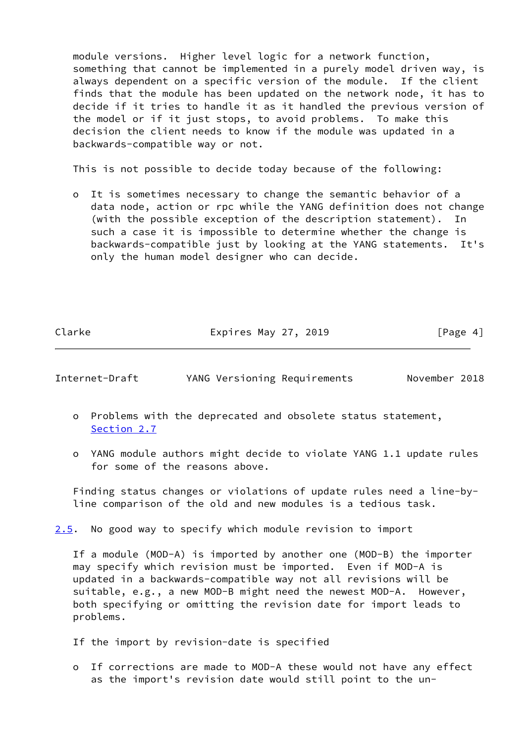module versions. Higher level logic for a network function, something that cannot be implemented in a purely model driven way, is always dependent on a specific version of the module. If the client finds that the module has been updated on the network node, it has to decide if it tries to handle it as it handled the previous version of the model or if it just stops, to avoid problems. To make this decision the client needs to know if the module was updated in a backwards-compatible way or not.

This is not possible to decide today because of the following:

 o It is sometimes necessary to change the semantic behavior of a data node, action or rpc while the YANG definition does not change (with the possible exception of the description statement). In such a case it is impossible to determine whether the change is backwards-compatible just by looking at the YANG statements. It's only the human model designer who can decide.

Clarke Expires May 27, 2019 [Page 4]

Internet-Draft YANG Versioning Requirements November 2018

- o Problems with the deprecated and obsolete status statement, [Section 2.7](#page-6-0)
- o YANG module authors might decide to violate YANG 1.1 update rules for some of the reasons above.

 Finding status changes or violations of update rules need a line-by line comparison of the old and new modules is a tedious task.

<span id="page-4-0"></span>[2.5](#page-4-0). No good way to specify which module revision to import

 If a module (MOD-A) is imported by another one (MOD-B) the importer may specify which revision must be imported. Even if MOD-A is updated in a backwards-compatible way not all revisions will be suitable, e.g., a new MOD-B might need the newest MOD-A. However, both specifying or omitting the revision date for import leads to problems.

If the import by revision-date is specified

 o If corrections are made to MOD-A these would not have any effect as the import's revision date would still point to the un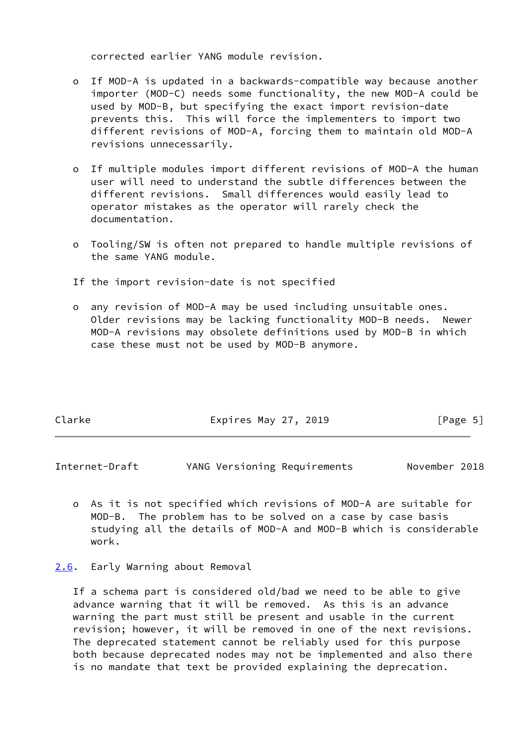corrected earlier YANG module revision.

- o If MOD-A is updated in a backwards-compatible way because another importer (MOD-C) needs some functionality, the new MOD-A could be used by MOD-B, but specifying the exact import revision-date prevents this. This will force the implementers to import two different revisions of MOD-A, forcing them to maintain old MOD-A revisions unnecessarily.
- o If multiple modules import different revisions of MOD-A the human user will need to understand the subtle differences between the different revisions. Small differences would easily lead to operator mistakes as the operator will rarely check the documentation.
- o Tooling/SW is often not prepared to handle multiple revisions of the same YANG module.
- If the import revision-date is not specified
- o any revision of MOD-A may be used including unsuitable ones. Older revisions may be lacking functionality MOD-B needs. Newer MOD-A revisions may obsolete definitions used by MOD-B in which case these must not be used by MOD-B anymore.

| Clarke | Expires May 27, 2019 | [Page 5] |
|--------|----------------------|----------|
|        |                      |          |

<span id="page-5-1"></span>Internet-Draft YANG Versioning Requirements November 2018

- o As it is not specified which revisions of MOD-A are suitable for MOD-B. The problem has to be solved on a case by case basis studying all the details of MOD-A and MOD-B which is considerable work.
- <span id="page-5-0"></span>[2.6](#page-5-0). Early Warning about Removal

 If a schema part is considered old/bad we need to be able to give advance warning that it will be removed. As this is an advance warning the part must still be present and usable in the current revision; however, it will be removed in one of the next revisions. The deprecated statement cannot be reliably used for this purpose both because deprecated nodes may not be implemented and also there is no mandate that text be provided explaining the deprecation.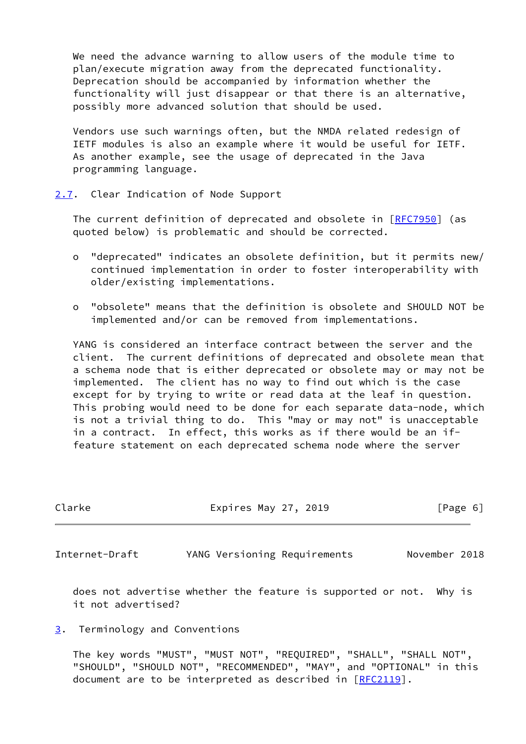We need the advance warning to allow users of the module time to plan/execute migration away from the deprecated functionality. Deprecation should be accompanied by information whether the functionality will just disappear or that there is an alternative, possibly more advanced solution that should be used.

 Vendors use such warnings often, but the NMDA related redesign of IETF modules is also an example where it would be useful for IETF. As another example, see the usage of deprecated in the Java programming language.

<span id="page-6-0"></span>[2.7](#page-6-0). Clear Indication of Node Support

The current definition of deprecated and obsolete in [\[RFC7950](https://datatracker.ietf.org/doc/pdf/rfc7950)] (as quoted below) is problematic and should be corrected.

- o "deprecated" indicates an obsolete definition, but it permits new/ continued implementation in order to foster interoperability with older/existing implementations.
- o "obsolete" means that the definition is obsolete and SHOULD NOT be implemented and/or can be removed from implementations.

 YANG is considered an interface contract between the server and the client. The current definitions of deprecated and obsolete mean that a schema node that is either deprecated or obsolete may or may not be implemented. The client has no way to find out which is the case except for by trying to write or read data at the leaf in question. This probing would need to be done for each separate data-node, which is not a trivial thing to do. This "may or may not" is unacceptable in a contract. In effect, this works as if there would be an if feature statement on each deprecated schema node where the server

<span id="page-6-2"></span>

| Clarke         | Expires May 27, 2019         | [Page 6]      |
|----------------|------------------------------|---------------|
| Internet-Draft | YANG Versioning Requirements | November 2018 |

 does not advertise whether the feature is supported or not. Why is it not advertised?

### <span id="page-6-1"></span>[3](#page-6-1). Terminology and Conventions

 The key words "MUST", "MUST NOT", "REQUIRED", "SHALL", "SHALL NOT", "SHOULD", "SHOULD NOT", "RECOMMENDED", "MAY", and "OPTIONAL" in this document are to be interpreted as described in [\[RFC2119](https://datatracker.ietf.org/doc/pdf/rfc2119)].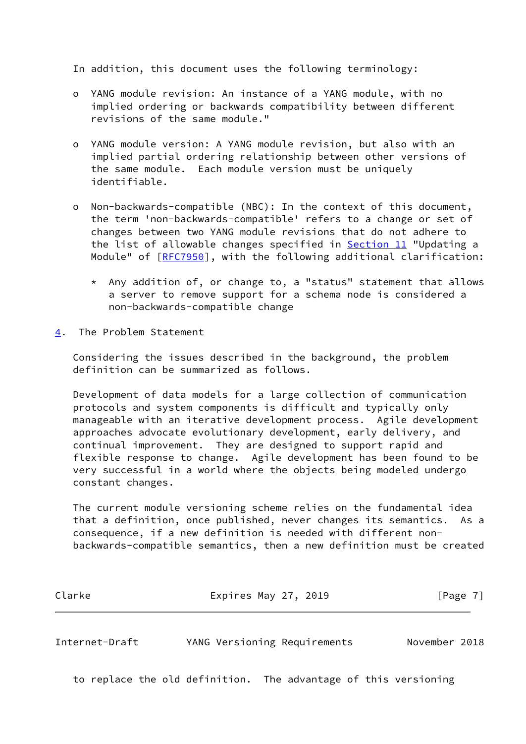In addition, this document uses the following terminology:

- o YANG module revision: An instance of a YANG module, with no implied ordering or backwards compatibility between different revisions of the same module."
- o YANG module version: A YANG module revision, but also with an implied partial ordering relationship between other versions of the same module. Each module version must be uniquely identifiable.
- o Non-backwards-compatible (NBC): In the context of this document, the term 'non-backwards-compatible' refers to a change or set of changes between two YANG module revisions that do not adhere to the list of allowable changes specified in Section 11 "Updating a Module" of [[RFC7950](https://datatracker.ietf.org/doc/pdf/rfc7950)], with the following additional clarification:
	- \* Any addition of, or change to, a "status" statement that allows a server to remove support for a schema node is considered a non-backwards-compatible change
- <span id="page-7-0"></span>[4](#page-7-0). The Problem Statement

 Considering the issues described in the background, the problem definition can be summarized as follows.

 Development of data models for a large collection of communication protocols and system components is difficult and typically only manageable with an iterative development process. Agile development approaches advocate evolutionary development, early delivery, and continual improvement. They are designed to support rapid and flexible response to change. Agile development has been found to be very successful in a world where the objects being modeled undergo constant changes.

 The current module versioning scheme relies on the fundamental idea that a definition, once published, never changes its semantics. As a consequence, if a new definition is needed with different non backwards-compatible semantics, then a new definition must be created

| Clarke | Expires May 27, 2019 | [Page 7] |
|--------|----------------------|----------|
|--------|----------------------|----------|

Internet-Draft YANG Versioning Requirements November 2018

to replace the old definition. The advantage of this versioning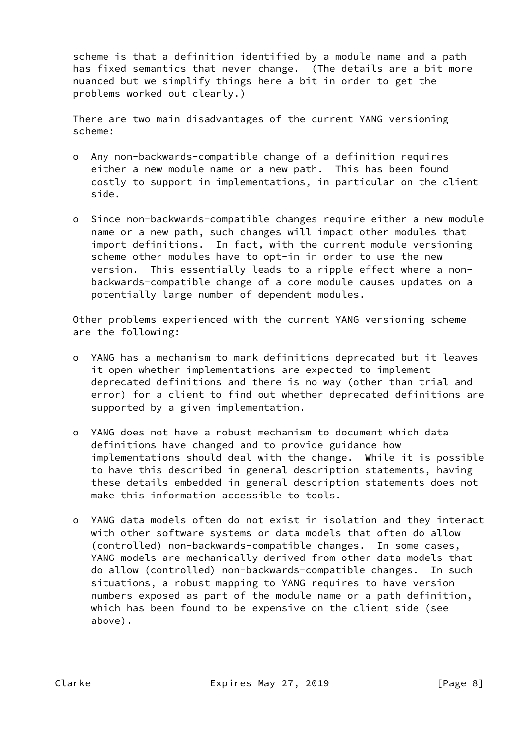scheme is that a definition identified by a module name and a path has fixed semantics that never change. (The details are a bit more nuanced but we simplify things here a bit in order to get the problems worked out clearly.)

 There are two main disadvantages of the current YANG versioning scheme:

- o Any non-backwards-compatible change of a definition requires either a new module name or a new path. This has been found costly to support in implementations, in particular on the client side.
- o Since non-backwards-compatible changes require either a new module name or a new path, such changes will impact other modules that import definitions. In fact, with the current module versioning scheme other modules have to opt-in in order to use the new version. This essentially leads to a ripple effect where a non backwards-compatible change of a core module causes updates on a potentially large number of dependent modules.

 Other problems experienced with the current YANG versioning scheme are the following:

- o YANG has a mechanism to mark definitions deprecated but it leaves it open whether implementations are expected to implement deprecated definitions and there is no way (other than trial and error) for a client to find out whether deprecated definitions are supported by a given implementation.
- o YANG does not have a robust mechanism to document which data definitions have changed and to provide guidance how implementations should deal with the change. While it is possible to have this described in general description statements, having these details embedded in general description statements does not make this information accessible to tools.
- o YANG data models often do not exist in isolation and they interact with other software systems or data models that often do allow (controlled) non-backwards-compatible changes. In some cases, YANG models are mechanically derived from other data models that do allow (controlled) non-backwards-compatible changes. In such situations, a robust mapping to YANG requires to have version numbers exposed as part of the module name or a path definition, which has been found to be expensive on the client side (see above).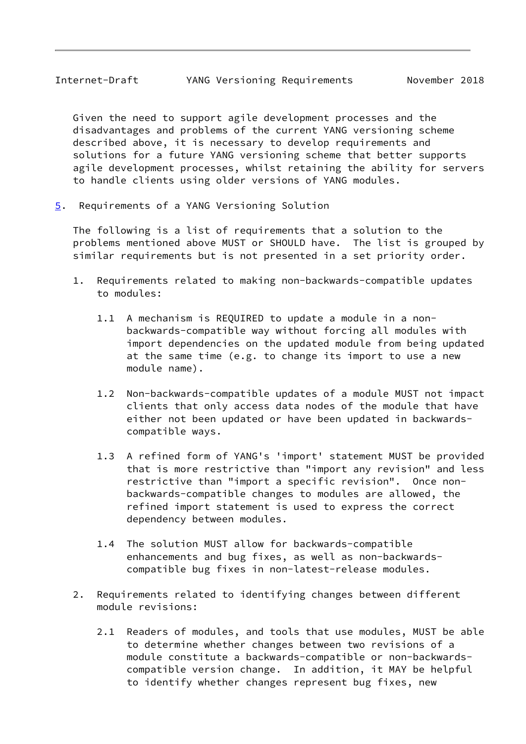<span id="page-9-1"></span> Given the need to support agile development processes and the disadvantages and problems of the current YANG versioning scheme described above, it is necessary to develop requirements and solutions for a future YANG versioning scheme that better supports agile development processes, whilst retaining the ability for servers to handle clients using older versions of YANG modules.

<span id="page-9-0"></span>[5](#page-9-0). Requirements of a YANG Versioning Solution

 The following is a list of requirements that a solution to the problems mentioned above MUST or SHOULD have. The list is grouped by similar requirements but is not presented in a set priority order.

- 1. Requirements related to making non-backwards-compatible updates to modules:
	- 1.1 A mechanism is REQUIRED to update a module in a non backwards-compatible way without forcing all modules with import dependencies on the updated module from being updated at the same time (e.g. to change its import to use a new module name).
	- 1.2 Non-backwards-compatible updates of a module MUST not impact clients that only access data nodes of the module that have either not been updated or have been updated in backwards compatible ways.
	- 1.3 A refined form of YANG's 'import' statement MUST be provided that is more restrictive than "import any revision" and less restrictive than "import a specific revision". Once non backwards-compatible changes to modules are allowed, the refined import statement is used to express the correct dependency between modules.
	- 1.4 The solution MUST allow for backwards-compatible enhancements and bug fixes, as well as non-backwards compatible bug fixes in non-latest-release modules.
- 2. Requirements related to identifying changes between different module revisions:
	- 2.1 Readers of modules, and tools that use modules, MUST be able to determine whether changes between two revisions of a module constitute a backwards-compatible or non-backwards compatible version change. In addition, it MAY be helpful to identify whether changes represent bug fixes, new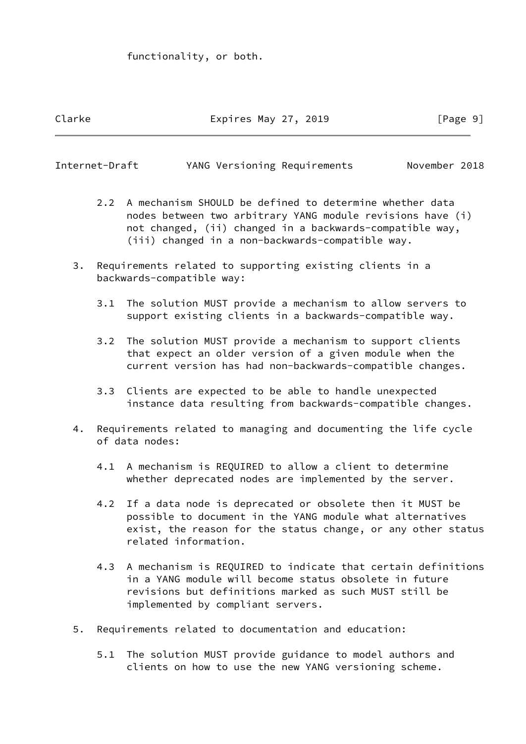functionality, or both.

# Clarke Expires May 27, 2019 [Page 9]

Internet-Draft YANG Versioning Requirements November 2018

- 2.2 A mechanism SHOULD be defined to determine whether data nodes between two arbitrary YANG module revisions have (i) not changed, (ii) changed in a backwards-compatible way, (iii) changed in a non-backwards-compatible way.
- 3. Requirements related to supporting existing clients in a backwards-compatible way:
	- 3.1 The solution MUST provide a mechanism to allow servers to support existing clients in a backwards-compatible way.
	- 3.2 The solution MUST provide a mechanism to support clients that expect an older version of a given module when the current version has had non-backwards-compatible changes.
	- 3.3 Clients are expected to be able to handle unexpected instance data resulting from backwards-compatible changes.
- 4. Requirements related to managing and documenting the life cycle of data nodes:
	- 4.1 A mechanism is REQUIRED to allow a client to determine whether deprecated nodes are implemented by the server.
	- 4.2 If a data node is deprecated or obsolete then it MUST be possible to document in the YANG module what alternatives exist, the reason for the status change, or any other status related information.
	- 4.3 A mechanism is REQUIRED to indicate that certain definitions in a YANG module will become status obsolete in future revisions but definitions marked as such MUST still be implemented by compliant servers.
- 5. Requirements related to documentation and education:
	- 5.1 The solution MUST provide guidance to model authors and clients on how to use the new YANG versioning scheme.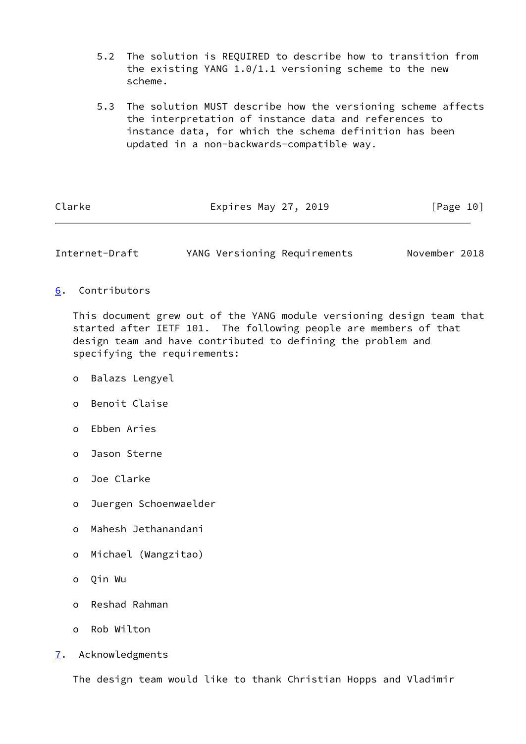- 5.2 The solution is REQUIRED to describe how to transition from the existing YANG 1.0/1.1 versioning scheme to the new scheme.
- 5.3 The solution MUST describe how the versioning scheme affects the interpretation of instance data and references to instance data, for which the schema definition has been updated in a non-backwards-compatible way.

| Clarke | Expires May 27, 2019 | [Page 10] |  |
|--------|----------------------|-----------|--|
|        |                      |           |  |

<span id="page-11-1"></span>Internet-Draft YANG Versioning Requirements November 2018

<span id="page-11-0"></span>[6](#page-11-0). Contributors

 This document grew out of the YANG module versioning design team that started after IETF 101. The following people are members of that design team and have contributed to defining the problem and specifying the requirements:

- o Balazs Lengyel
- o Benoit Claise
- o Ebben Aries
- o Jason Sterne
- o Joe Clarke
- o Juergen Schoenwaelder
- o Mahesh Jethanandani
- o Michael (Wangzitao)
- o Qin Wu
- o Reshad Rahman
- o Rob Wilton
- <span id="page-11-2"></span>[7](#page-11-2). Acknowledgments

The design team would like to thank Christian Hopps and Vladimir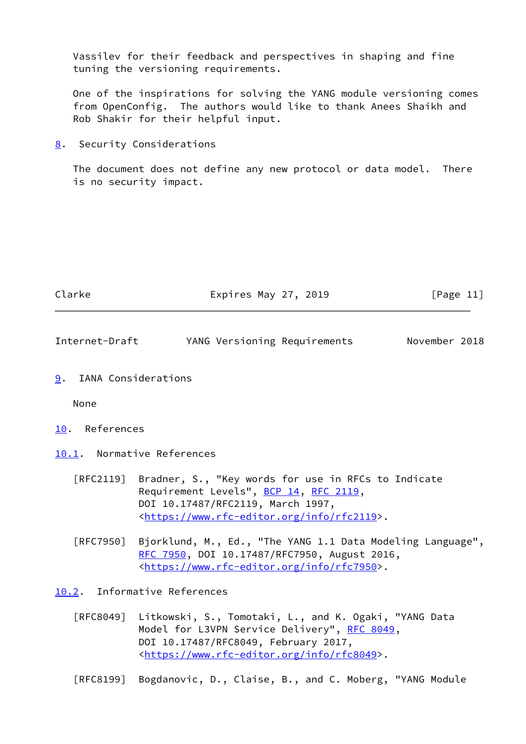Vassilev for their feedback and perspectives in shaping and fine tuning the versioning requirements.

 One of the inspirations for solving the YANG module versioning comes from OpenConfig. The authors would like to thank Anees Shaikh and Rob Shakir for their helpful input.

<span id="page-12-0"></span>[8](#page-12-0). Security Considerations

 The document does not define any new protocol or data model. There is no security impact.

<span id="page-12-2"></span>

| Clarke         | Expires May 27, 2019         | [Page 11]     |
|----------------|------------------------------|---------------|
| Internet-Draft | YANG Versioning Requirements | November 2018 |

<span id="page-12-1"></span>[9](#page-12-1). IANA Considerations

None

- <span id="page-12-3"></span>[10.](#page-12-3) References
- <span id="page-12-4"></span>[10.1](#page-12-4). Normative References
	- [RFC2119] Bradner, S., "Key words for use in RFCs to Indicate Requirement Levels", [BCP 14](https://datatracker.ietf.org/doc/pdf/bcp14), [RFC 2119](https://datatracker.ietf.org/doc/pdf/rfc2119), DOI 10.17487/RFC2119, March 1997, <[https://www.rfc-editor.org/info/rfc2119>](https://www.rfc-editor.org/info/rfc2119).
	- [RFC7950] Bjorklund, M., Ed., "The YANG 1.1 Data Modeling Language", [RFC 7950,](https://datatracker.ietf.org/doc/pdf/rfc7950) DOI 10.17487/RFC7950, August 2016, <[https://www.rfc-editor.org/info/rfc7950>](https://www.rfc-editor.org/info/rfc7950).

<span id="page-12-5"></span>[10.2](#page-12-5). Informative References

 [RFC8049] Litkowski, S., Tomotaki, L., and K. Ogaki, "YANG Data Model for L3VPN Service Delivery", [RFC 8049](https://datatracker.ietf.org/doc/pdf/rfc8049), DOI 10.17487/RFC8049, February 2017, <[https://www.rfc-editor.org/info/rfc8049>](https://www.rfc-editor.org/info/rfc8049).

[RFC8199] Bogdanovic, D., Claise, B., and C. Moberg, "YANG Module